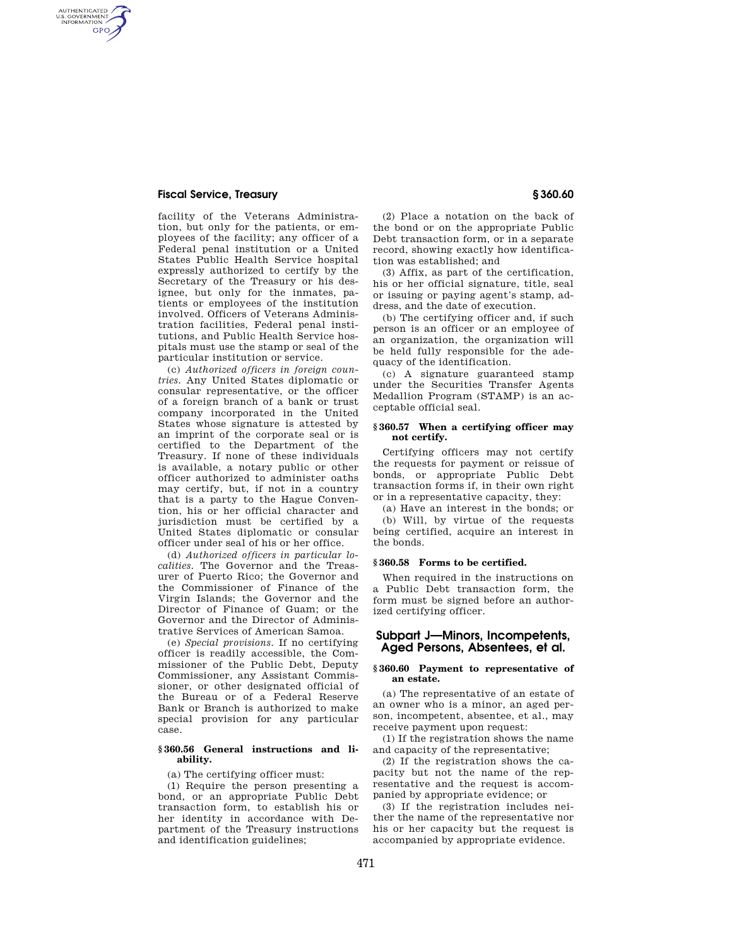## **Fiscal Service, Treasury § 360.60**

AUTHENTICATED<br>U.S. GOVERNMENT<br>INFORMATION **GPO** 

> facility of the Veterans Administration, but only for the patients, or employees of the facility; any officer of a Federal penal institution or a United States Public Health Service hospital expressly authorized to certify by the Secretary of the Treasury or his designee, but only for the inmates, patients or employees of the institution involved. Officers of Veterans Administration facilities, Federal penal institutions, and Public Health Service hospitals must use the stamp or seal of the particular institution or service.

> (c) *Authorized officers in foreign countries.* Any United States diplomatic or consular representative, or the officer of a foreign branch of a bank or trust company incorporated in the United States whose signature is attested by an imprint of the corporate seal or is certified to the Department of the Treasury. If none of these individuals is available, a notary public or other officer authorized to administer oaths may certify, but, if not in a country that is a party to the Hague Convention, his or her official character and jurisdiction must be certified by a United States diplomatic or consular officer under seal of his or her office.

> (d) *Authorized officers in particular localities.* The Governor and the Treasurer of Puerto Rico; the Governor and the Commissioner of Finance of the Virgin Islands; the Governor and the Director of Finance of Guam; or the Governor and the Director of Administrative Services of American Samoa.

> (e) *Special provisions.* If no certifying officer is readily accessible, the Commissioner of the Public Debt, Deputy Commissioner, any Assistant Commissioner, or other designated official of the Bureau or of a Federal Reserve Bank or Branch is authorized to make special provision for any particular case.

### **§ 360.56 General instructions and liability.**

(a) The certifying officer must:

(1) Require the person presenting a bond, or an appropriate Public Debt transaction form, to establish his or her identity in accordance with Department of the Treasury instructions and identification guidelines;

(2) Place a notation on the back of the bond or on the appropriate Public Debt transaction form, or in a separate record, showing exactly how identification was established; and

(3) Affix, as part of the certification, his or her official signature, title, seal or issuing or paying agent's stamp, address, and the date of execution.

(b) The certifying officer and, if such person is an officer or an employee of an organization, the organization will be held fully responsible for the adequacy of the identification.

(c) A signature guaranteed stamp under the Securities Transfer Agents Medallion Program (STAMP) is an acceptable official seal.

### **§ 360.57 When a certifying officer may not certify.**

Certifying officers may not certify the requests for payment or reissue of bonds, or appropriate Public Debt transaction forms if, in their own right or in a representative capacity, they:

(a) Have an interest in the bonds; or (b) Will, by virtue of the requests being certified, acquire an interest in the bonds.

### **§ 360.58 Forms to be certified.**

When required in the instructions on a Public Debt transaction form, the form must be signed before an authorized certifying officer.

# **Subpart J—Minors, Incompetents, Aged Persons, Absentees, et al.**

### **§ 360.60 Payment to representative of an estate.**

(a) The representative of an estate of an owner who is a minor, an aged person, incompetent, absentee, et al., may receive payment upon request:

(1) If the registration shows the name and capacity of the representative;

(2) If the registration shows the capacity but not the name of the representative and the request is accompanied by appropriate evidence; or

(3) If the registration includes neither the name of the representative nor his or her capacity but the request is accompanied by appropriate evidence.